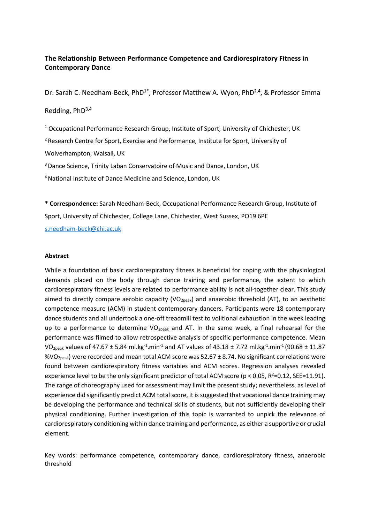# **The Relationship Between Performance Competence and Cardiorespiratory Fitness in Contemporary Dance**

Dr. Sarah C. Needham-Beck, PhD<sup>1\*</sup>, Professor Matthew A. Wyon, PhD<sup>2,4</sup>, & Professor Emma

## Redding, PhD3,4

<sup>1</sup> Occupational Performance Research Group, Institute of Sport, University of Chichester, UK

<sup>2</sup> Research Centre for Sport, Exercise and Performance, Institute for Sport, University of

Wolverhampton, Walsall, UK

<sup>3</sup> Dance Science, Trinity Laban Conservatoire of Music and Dance, London, UK

<sup>4</sup>National Institute of Dance Medicine and Science, London, UK

**\* Correspondence:** Sarah Needham-Beck, Occupational Performance Research Group, Institute of Sport, University of Chichester, College Lane, Chichester, West Sussex, PO19 6PE [s.needham-beck@chi.ac.uk](mailto:s.needham-beck@chi.ac.uk)

## **Abstract**

While a foundation of basic cardiorespiratory fitness is beneficial for coping with the physiological demands placed on the body through dance training and performance, the extent to which cardiorespiratory fitness levels are related to performance ability is not all-together clear. This study aimed to directly compare aerobic capacity (VO<sub>2peak</sub>) and anaerobic threshold (AT), to an aesthetic competence measure (ACM) in student contemporary dancers. Participants were 18 contemporary dance students and all undertook a one-off treadmill test to volitional exhaustion in the week leading up to a performance to determine  $VO_{2peak}$  and AT. In the same week, a final rehearsal for the performance was filmed to allow retrospective analysis of specific performance competence. Mean VO<sub>2peak</sub> values of 47.67 ± 5.84 ml.kg<sup>-1</sup>.min<sup>-1</sup> and AT values of 43.18 ± 7.72 ml.kg<sup>-1</sup>.min<sup>-1</sup> (90.68 ± 11.87 %VO<sub>2peak</sub>) were recorded and mean total ACM score was 52.67  $\pm$  8.74. No significant correlations were found between cardiorespiratory fitness variables and ACM scores. Regression analyses revealed experience level to be the only significant predictor of total ACM score ( $p < 0.05$ ,  $R^2 = 0.12$ , SEE=11.91). The range of choreography used for assessment may limit the present study; nevertheless, as level of experience did significantly predict ACM total score, it is suggested that vocational dance training may be developing the performance and technical skills of students, but not sufficiently developing their physical conditioning. Further investigation of this topic is warranted to unpick the relevance of cardiorespiratory conditioning within dance training and performance, as either a supportive or crucial element.

Key words: performance competence, contemporary dance, cardiorespiratory fitness, anaerobic threshold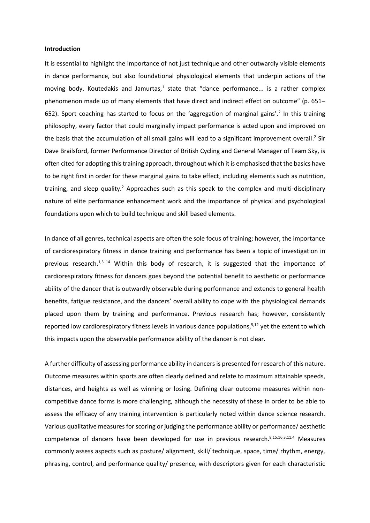### **Introduction**

It is essential to highlight the importance of not just technique and other outwardly visible elements in dance performance, but also foundational physiological elements that underpin actions of the moving body. Koutedakis and Jamurtas,<sup>1</sup> state that "dance performance... is a rather complex phenomenon made up of many elements that have direct and indirect effect on outcome" (p. 651– 652). Sport coaching has started to focus on the 'aggregation of marginal gains'.<sup>2</sup> In this training philosophy, every factor that could marginally impact performance is acted upon and improved on the basis that the accumulation of all small gains will lead to a significant improvement overall.<sup>2</sup> Sir Dave Brailsford, former Performance Director of British Cycling and General Manager of Team Sky, is often cited for adopting this training approach, throughout which it is emphasised that the basics have to be right first in order for these marginal gains to take effect, including elements such as nutrition, training, and sleep quality.<sup>2</sup> Approaches such as this speak to the complex and multi-disciplinary nature of elite performance enhancement work and the importance of physical and psychological foundations upon which to build technique and skill based elements.

In dance of all genres, technical aspects are often the sole focus of training; however, the importance of cardiorespiratory fitness in dance training and performance has been a topic of investigation in previous research.<sup>1,3-14</sup> Within this body of research, it is suggested that the importance of cardiorespiratory fitness for dancers goes beyond the potential benefit to aesthetic or performance ability of the dancer that is outwardly observable during performance and extends to general health benefits, fatigue resistance, and the dancers' overall ability to cope with the physiological demands placed upon them by training and performance. Previous research has; however, consistently reported low cardiorespiratory fitness levels in various dance populations,<sup>5,12</sup> yet the extent to which this impacts upon the observable performance ability of the dancer is not clear.

A further difficulty of assessing performance ability in dancers is presented for research of this nature. Outcome measures within sports are often clearly defined and relate to maximum attainable speeds, distances, and heights as well as winning or losing. Defining clear outcome measures within noncompetitive dance forms is more challenging, although the necessity of these in order to be able to assess the efficacy of any training intervention is particularly noted within dance science research. Various qualitative measures for scoring or judging the performance ability or performance/ aesthetic competence of dancers have been developed for use in previous research.<sup>8,15,16,3,11,4</sup> Measures commonly assess aspects such as posture/ alignment, skill/ technique, space, time/ rhythm, energy, phrasing, control, and performance quality/ presence, with descriptors given for each characteristic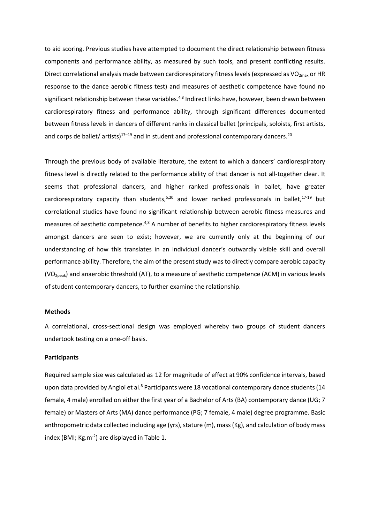to aid scoring. Previous studies have attempted to document the direct relationship between fitness components and performance ability, as measured by such tools, and present conflicting results. Direct correlational analysis made between cardiorespiratory fitness levels (expressed as  $VO<sub>2max</sub>$  or HR response to the dance aerobic fitness test) and measures of aesthetic competence have found no significant relationship between these variables.<sup>4,8</sup> Indirect links have, however, been drawn between cardiorespiratory fitness and performance ability, through significant differences documented between fitness levels in dancers of different ranks in classical ballet (principals, soloists, first artists, and corps de ballet/ artists)<sup>17-19</sup> and in student and professional contemporary dancers.<sup>20</sup>

Through the previous body of available literature, the extent to which a dancers' cardiorespiratory fitness level is directly related to the performance ability of that dancer is not all-together clear. It seems that professional dancers, and higher ranked professionals in ballet, have greater cardiorespiratory capacity than students,<sup>5,20</sup> and lower ranked professionals in ballet,<sup>17-19</sup> but correlational studies have found no significant relationship between aerobic fitness measures and measures of aesthetic competence.<sup>4,8</sup> A number of benefits to higher cardiorespiratory fitness levels amongst dancers are seen to exist; however, we are currently only at the beginning of our understanding of how this translates in an individual dancer's outwardly visible skill and overall performance ability. Therefore, the aim of the present study was to directly compare aerobic capacity (VO2peak) and anaerobic threshold (AT), to a measure of aesthetic competence (ACM) in various levels of student contemporary dancers, to further examine the relationship.

#### **Methods**

A correlational, cross-sectional design was employed whereby two groups of student dancers undertook testing on a one-off basis.

## **Participants**

Required sample size was calculated as 12 for magnitude of effect at 90% confidence intervals, based upon data provided by Angioi et al.<sup>3</sup> Participants were 18 vocational contemporary dance students (14 female, 4 male) enrolled on either the first year of a Bachelor of Arts (BA) contemporary dance (UG; 7 female) or Masters of Arts (MA) dance performance (PG; 7 female, 4 male) degree programme. Basic anthropometric data collected including age (yrs), stature (m), mass (Kg), and calculation of body mass index (BMI; Kg.m<sup>-2</sup>) are displayed in Table 1.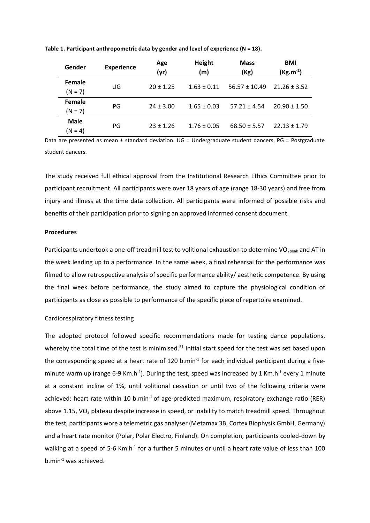| Gender                 | <b>Experience</b> | Age<br>(yr)   | Height<br>(m)   | <b>Mass</b><br>(Kg) | <b>BMI</b><br>$(Kg.m^{-2})$ |  |
|------------------------|-------------------|---------------|-----------------|---------------------|-----------------------------|--|
| Female<br>$(N = 7)$    | UG                | $20 \pm 1.25$ | $1.63 \pm 0.11$ | $56.57 \pm 10.49$   | $21.26 \pm 3.52$            |  |
| Female<br>$(N = 7)$    | PG                | $24 \pm 3.00$ | $1.65 \pm 0.03$ | $57.21 + 4.54$      | $20.90 \pm 1.50$            |  |
| <b>Male</b><br>(N = 4) | PG                | $23 \pm 1.26$ | $1.76 \pm 0.05$ | $68.50 \pm 5.57$    | $22.13 \pm 1.79$            |  |

**Table 1. Participant anthropometric data by gender and level of experience (N = 18).** 

Data are presented as mean ± standard deviation. UG = Undergraduate student dancers, PG = Postgraduate student dancers.

The study received full ethical approval from the Institutional Research Ethics Committee prior to participant recruitment. All participants were over 18 years of age (range 18-30 years) and free from injury and illness at the time data collection. All participants were informed of possible risks and benefits of their participation prior to signing an approved informed consent document.

### **Procedures**

Participants undertook a one-off treadmill test to volitional exhaustion to determine VO<sub>2peak</sub> and AT in the week leading up to a performance. In the same week, a final rehearsal for the performance was filmed to allow retrospective analysis of specific performance ability/ aesthetic competence. By using the final week before performance, the study aimed to capture the physiological condition of participants as close as possible to performance of the specific piece of repertoire examined.

#### Cardiorespiratory fitness testing

The adopted protocol followed specific recommendations made for testing dance populations, whereby the total time of the test is minimised. $^{21}$  Initial start speed for the test was set based upon the corresponding speed at a heart rate of 120 b.min<sup>-1</sup> for each individual participant during a fiveminute warm up (range 6-9 Km.h<sup>-1</sup>). During the test, speed was increased by 1 Km.h<sup>-1</sup> every 1 minute at a constant incline of 1%, until volitional cessation or until two of the following criteria were achieved: heart rate within 10 b.min<sup>-1</sup> of age-predicted maximum, respiratory exchange ratio (RER) above 1.15, VO<sub>2</sub> plateau despite increase in speed, or inability to match treadmill speed. Throughout the test, participants wore a telemetric gas analyser (Metamax 3B, Cortex Biophysik GmbH, Germany) and a heart rate monitor (Polar, Polar Electro, Finland). On completion, participants cooled-down by walking at a speed of 5-6 Km.h<sup>-1</sup> for a further 5 minutes or until a heart rate value of less than 100 b.min-1 was achieved.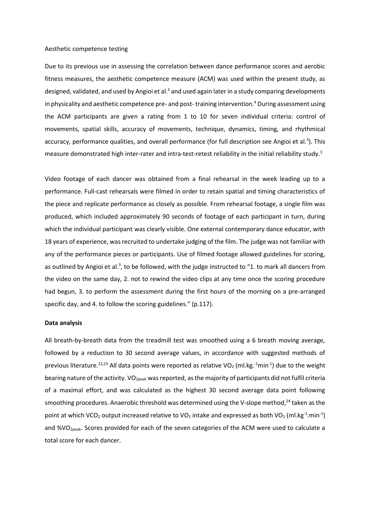#### Aesthetic competence testing

Due to its previous use in assessing the correlation between dance performance scores and aerobic fitness measures, the aesthetic competence measure (ACM) was used within the present study, as designed, validated, and used by Angioi et al.<sup>3</sup> and used again later in a study comparing developments in physicality and aesthetic competence pre- and post-training intervention. <sup>4</sup> During assessment using the ACM participants are given a rating from 1 to 10 for seven individual criteria: control of movements, spatial skills, accuracy of movements, technique, dynamics, timing, and rhythmical accuracy, performance qualities, and overall performance (for full description see Angioi et al.<sup>3</sup>). This measure demonstrated high inter-rater and intra-test-retest reliability in the initial reliability study.<sup>3</sup>

Video footage of each dancer was obtained from a final rehearsal in the week leading up to a performance. Full-cast rehearsals were filmed in order to retain spatial and timing characteristics of the piece and replicate performance as closely as possible. From rehearsal footage, a single film was produced, which included approximately 90 seconds of footage of each participant in turn, during which the individual participant was clearly visible. One external contemporary dance educator, with 18 years of experience, was recruited to undertake judging of the film. The judge was not familiar with any of the performance pieces or participants. Use of filmed footage allowed guidelines for scoring, as outlined by Angioi et al.<sup>3</sup>, to be followed, with the judge instructed to "1. to mark all dancers from the video on the same day, 2. not to rewind the video clips at any time once the scoring procedure had begun, 3. to perform the assessment during the first hours of the morning on a pre-arranged specific day, and 4. to follow the scoring guidelines." (p.117).

## **Data analysis**

All breath-by-breath data from the treadmill test was smoothed using a 6 breath moving average, followed by a reduction to 30 second average values, in accordance with suggested methods of previous literature.<sup>22,23</sup> All data points were reported as relative VO<sub>2</sub> (ml.kg.<sup>-1</sup>min<sup>-1</sup>) due to the weight bearing nature of the activity. VO<sub>2peak</sub> was reported, as the majority of participants did not fulfil criteria of a maximal effort, and was calculated as the highest 30 second average data point following smoothing procedures. Anaerobic threshold was determined using the V-slope method,<sup>24</sup> taken as the point at which VCO<sub>2</sub> output increased relative to VO<sub>2</sub> intake and expressed as both VO<sub>2</sub> (ml.kg<sup>-1</sup>.min<sup>-1</sup>) and %VO<sub>2peak</sub>. Scores provided for each of the seven categories of the ACM were used to calculate a total score for each dancer.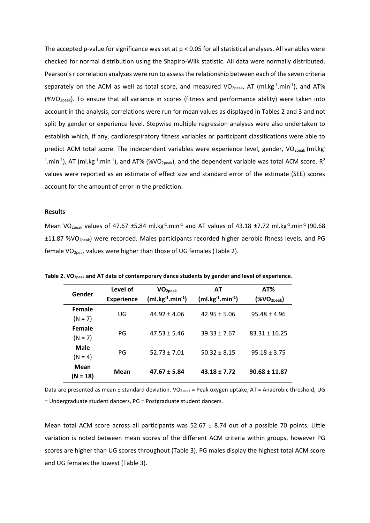The accepted p-value for significance was set at  $p < 0.05$  for all statistical analyses. All variables were checked for normal distribution using the Shapiro-Wilk statistic. All data were normally distributed. Pearson's r correlation analyses were run to assess the relationship between each of the seven criteria separately on the ACM as well as total score, and measured VO<sub>2peak</sub>, AT (ml.kg<sup>-1</sup>.min<sup>-1</sup>), and AT% (%VO<sub>2peak</sub>). To ensure that all variance in scores (fitness and performance ability) were taken into account in the analysis, correlations were run for mean values as displayed in Tables 2 and 3 and not split by gender or experience level. Stepwise multiple regression analyses were also undertaken to establish which, if any, cardiorespiratory fitness variables or participant classifications were able to predict ACM total score. The independent variables were experience level, gender, VO<sub>2peak</sub> (ml.kg<sup>-</sup> <sup>1</sup>.min<sup>-1</sup>), AT (ml.kg<sup>-1</sup>.min<sup>-1</sup>), and AT% (%VO<sub>2peak</sub>), and the dependent variable was total ACM score. R<sup>2</sup> values were reported as an estimate of effect size and standard error of the estimate (SEE) scores account for the amount of error in the prediction.

## **Results**

Mean VO<sub>2peak</sub> values of 47.67 ±5.84 ml.kg<sup>-1</sup>.min<sup>-1</sup> and AT values of 43.18 ±7.72 ml.kg<sup>-1</sup>.min<sup>-1</sup> (90.68 ±11.87 %VO2peak) were recorded. Males participants recorded higher aerobic fitness levels, and PG female VO<sub>2peak</sub> values were higher than those of UG females (Table 2).

| Gender              | Level of<br><b>Experience</b> | VO <sub>2peak</sub><br>$(ml.kg^{-1}.min^{-1})$ | AT<br>$(m1 \text{ kg}^{-1} \cdot m1 \text{ m}^{-1})$ | AT%<br>$(% \mathcal{N}^{\prime }\cap \mathcal{N}^{\prime })$ |  |
|---------------------|-------------------------------|------------------------------------------------|------------------------------------------------------|--------------------------------------------------------------|--|
| Female<br>$(N = 7)$ | UG                            | $44.92 \pm 4.06$                               | $42.95 + 5.06$                                       | $95.48 \pm 4.96$                                             |  |
| Female<br>$(N = 7)$ | PG                            | $47.53 \pm 5.46$                               | $39.33 + 7.67$                                       | $83.31 + 16.25$                                              |  |
| Male<br>$(N = 4)$   | PG                            | $52.73 + 7.01$                                 | $50.32 \pm 8.15$                                     | $95.18 \pm 3.75$                                             |  |
| Mean<br>$(N = 18)$  | Mean                          | $47.67 \pm 5.84$                               | $43.18 \pm 7.72$                                     | $90.68 \pm 11.87$                                            |  |

**Table 2. VO2peak and AT data of contemporary dance students by gender and level of experience.** 

Data are presented as mean ± standard deviation. VO<sub>2peak</sub> = Peak oxygen uptake, AT = Anaerobic threshold, UG = Undergraduate student dancers, PG = Postgraduate student dancers.

Mean total ACM score across all participants was  $52.67 \pm 8.74$  out of a possible 70 points. Little variation is noted between mean scores of the different ACM criteria within groups, however PG scores are higher than UG scores throughout (Table 3). PG males display the highest total ACM score and UG females the lowest (Table 3).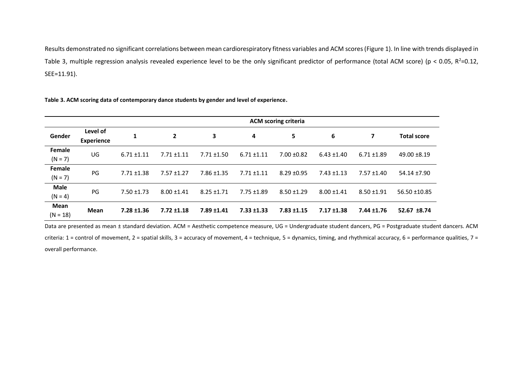Results demonstrated no significant correlations between mean cardiorespiratory fitness variables and ACM scores (Figure 1). In line with trends displayed in Table 3, multiple regression analysis revealed experience level to be the only significant predictor of performance (total ACM score) (p < 0.05, R<sup>2</sup>=0.12, SEE=11.91).

**Table 3. ACM scoring data of contemporary dance students by gender and level of experience.** 

|             |                               | <b>ACM scoring criteria</b> |                 |                 |                 |                 |                 |                 |                    |                  |
|-------------|-------------------------------|-----------------------------|-----------------|-----------------|-----------------|-----------------|-----------------|-----------------|--------------------|------------------|
| Gender      | Level of<br><b>Experience</b> | 1                           | $\mathbf{2}$    | 3               | 4               | 5               | 6               | 7               | <b>Total score</b> |                  |
| Female      | UG                            |                             | $6.71 \pm 1.11$ | $7.71 \pm 1.11$ | $7.71 \pm 1.50$ | $6.71 \pm 1.11$ | $7.00 \pm 0.82$ | $6.43 \pm 1.40$ | $6.71 \pm 1.89$    | $49.00 \pm 8.19$ |
| $(N = 7)$   |                               |                             |                 |                 |                 |                 |                 |                 |                    |                  |
| Female      | PG                            | $7.71 \pm 1.38$             | $7.57 \pm 1.27$ | $7.86 \pm 1.35$ | $7.71 \pm 1.11$ | $8.29 \pm 0.95$ | $7.43 \pm 1.13$ | $7.57 \pm 1.40$ | 54.14 ±7.90        |                  |
| $(N = 7)$   |                               |                             |                 |                 |                 |                 |                 |                 |                    |                  |
| <b>Male</b> | PG                            | $7.50 \pm 1.73$             | $8.00 + 1.41$   | $8.25 \pm 1.71$ | $7.75 \pm 1.89$ | $8.50 + 1.29$   | $8.00 \pm 1.41$ | $8.50 + 1.91$   | 56.50 ±10.85       |                  |
| $(N = 4)$   |                               |                             |                 |                 |                 |                 |                 |                 |                    |                  |
| Mean        | <b>Mean</b>                   | $7.28 \pm 1.36$             | $7.72 \pm 1.18$ | $7.89 \pm 1.41$ | $7.33 \pm 1.33$ | $7.83 \pm 1.15$ | $7.17 \pm 1.38$ | $7.44 \pm 1.76$ | 52.67 ±8.74        |                  |
| $(N = 18)$  |                               |                             |                 |                 |                 |                 |                 |                 |                    |                  |

Data are presented as mean ± standard deviation. ACM = Aesthetic competence measure, UG = Undergraduate student dancers, PG = Postgraduate student dancers. ACM criteria: 1 = control of movement, 2 = spatial skills, 3 = accuracy of movement, 4 = technique, 5 = dynamics, timing, and rhythmical accuracy, 6 = performance qualities, 7 = overall performance.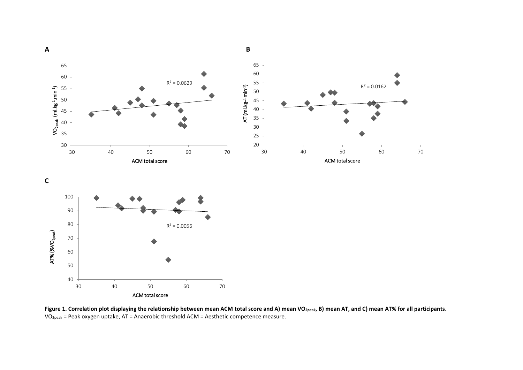

**Figure 1. Correlation plot displaying the relationship between mean ACM total score and A) mean VO2peak, B) mean AT, and C) mean AT% for all participants.** VO2peak = Peak oxygen uptake, AT = Anaerobic threshold ACM = Aesthetic competence measure.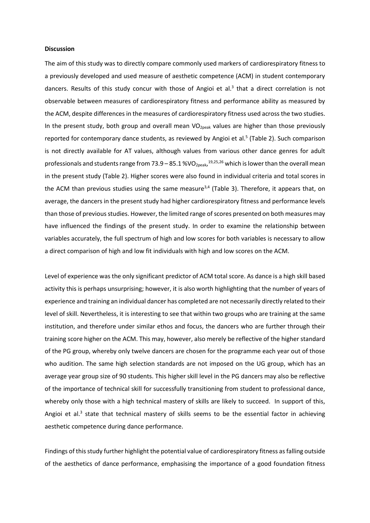### **Discussion**

The aim of this study was to directly compare commonly used markers of cardiorespiratory fitness to a previously developed and used measure of aesthetic competence (ACM) in student contemporary dancers. Results of this study concur with those of Angioi et al.<sup>3</sup> that a direct correlation is not observable between measures of cardiorespiratory fitness and performance ability as measured by the ACM, despite differences in the measures of cardiorespiratory fitness used across the two studies. In the present study, both group and overall mean VO<sub>2peak</sub> values are higher than those previously reported for contemporary dance students, as reviewed by Angioi et al.<sup>5</sup> (Table 2). Such comparison is not directly available for AT values, although values from various other dance genres for adult professionals and students range from 73.9 – 85.1 %VO<sub>2peak</sub>,<sup>19,25,26</sup> which is lower than the overall mean in the present study (Table 2). Higher scores were also found in individual criteria and total scores in the ACM than previous studies using the same measure<sup>3,4</sup> (Table 3). Therefore, it appears that, on average, the dancers in the present study had higher cardiorespiratory fitness and performance levels than those of previous studies. However, the limited range of scores presented on both measures may have influenced the findings of the present study. In order to examine the relationship between variables accurately, the full spectrum of high and low scores for both variables is necessary to allow a direct comparison of high and low fit individuals with high and low scores on the ACM.

Level of experience was the only significant predictor of ACM total score. As dance is a high skill based activity this is perhaps unsurprising; however, it is also worth highlighting that the number of years of experience and training an individual dancer has completed are not necessarily directly related to their level of skill. Nevertheless, it is interesting to see that within two groups who are training at the same institution, and therefore under similar ethos and focus, the dancers who are further through their training score higher on the ACM. This may, however, also merely be reflective of the higher standard of the PG group, whereby only twelve dancers are chosen for the programme each year out of those who audition. The same high selection standards are not imposed on the UG group, which has an average year group size of 90 students. This higher skill level in the PG dancers may also be reflective of the importance of technical skill for successfully transitioning from student to professional dance, whereby only those with a high technical mastery of skills are likely to succeed. In support of this, Angioi et al.<sup>3</sup> state that technical mastery of skills seems to be the essential factor in achieving aesthetic competence during dance performance.

Findings of this study further highlight the potential value of cardiorespiratory fitness as falling outside of the aesthetics of dance performance, emphasising the importance of a good foundation fitness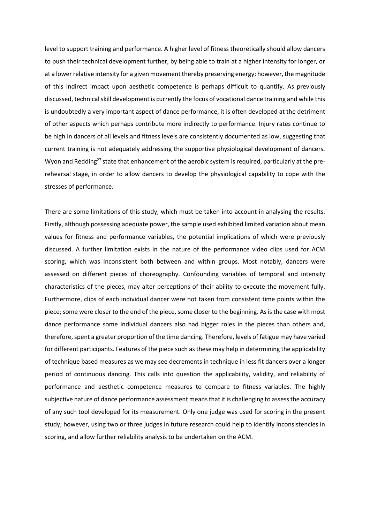level to support training and performance. A higher level of fitness theoretically should allow dancers to push their technical development further, by being able to train at a higher intensity for longer, or at a lower relative intensity for a given movement thereby preserving energy; however, the magnitude of this indirect impact upon aesthetic competence is perhaps difficult to quantify. As previously discussed, technical skill development is currently the focus of vocational dance training and while this is undoubtedly a very important aspect of dance performance, it is often developed at the detriment of other aspects which perhaps contribute more indirectly to performance. Injury rates continue to be high in dancers of all levels and fitness levels are consistently documented as low, suggesting that current training is not adequately addressing the supportive physiological development of dancers. Wyon and Redding<sup>27</sup> state that enhancement of the aerobic system is required, particularly at the prerehearsal stage, in order to allow dancers to develop the physiological capability to cope with the stresses of performance.

There are some limitations of this study, which must be taken into account in analysing the results. Firstly, although possessing adequate power, the sample used exhibited limited variation about mean values for fitness and performance variables, the potential implications of which were previously discussed. A further limitation exists in the nature of the performance video clips used for ACM scoring, which was inconsistent both between and within groups. Most notably, dancers were assessed on different pieces of choreography. Confounding variables of temporal and intensity characteristics of the pieces, may alter perceptions of their ability to execute the movement fully. Furthermore, clips of each individual dancer were not taken from consistent time points within the piece; some were closer to the end of the piece, some closer to the beginning. As is the case with most dance performance some individual dancers also had bigger roles in the pieces than others and, therefore, spent a greater proportion of the time dancing. Therefore, levels of fatigue may have varied for different participants. Features of the piece such as these may help in determining the applicability of technique based measures as we may see decrements in technique in less fit dancers over a longer period of continuous dancing. This calls into question the applicability, validity, and reliability of performance and aesthetic competence measures to compare to fitness variables. The highly subjective nature of dance performance assessment means that it is challenging to assess the accuracy of any such tool developed for its measurement. Only one judge was used for scoring in the present study; however, using two or three judges in future research could help to identify inconsistencies in scoring, and allow further reliability analysis to be undertaken on the ACM.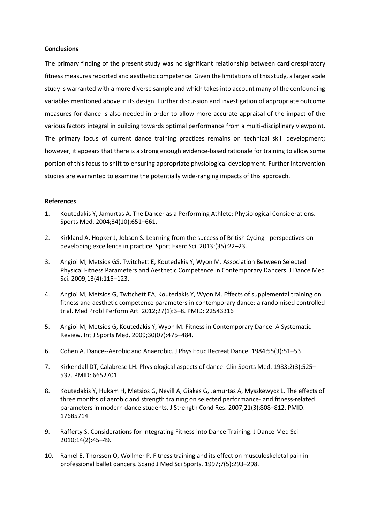## **Conclusions**

The primary finding of the present study was no significant relationship between cardiorespiratory fitness measures reported and aesthetic competence. Given the limitations of this study, a larger scale study is warranted with a more diverse sample and which takes into account many of the confounding variables mentioned above in its design. Further discussion and investigation of appropriate outcome measures for dance is also needed in order to allow more accurate appraisal of the impact of the various factors integral in building towards optimal performance from a multi-disciplinary viewpoint. The primary focus of current dance training practices remains on technical skill development; however, it appears that there is a strong enough evidence-based rationale for training to allow some portion of this focus to shift to ensuring appropriate physiological development. Further intervention studies are warranted to examine the potentially wide-ranging impacts of this approach.

## **References**

- 1. Koutedakis Y, Jamurtas A. The Dancer as a Performing Athlete: Physiological Considerations. Sports Med. 2004;34(10):651–661.
- 2. Kirkland A, Hopker J, Jobson S. Learning from the success of British Cycing perspectives on developing excellence in practice. Sport Exerc Sci. 2013;(35):22–23.
- 3. Angioi M, Metsios GS, Twitchett E, Koutedakis Y, Wyon M. Association Between Selected Physical Fitness Parameters and Aesthetic Competence in Contemporary Dancers. J Dance Med Sci. 2009;13(4):115–123.
- 4. Angioi M, Metsios G, Twitchett EA, Koutedakis Y, Wyon M. Effects of supplemental training on fitness and aesthetic competence parameters in contemporary dance: a randomised controlled trial. Med Probl Perform Art. 2012;27(1):3–8. PMID: 22543316
- 5. Angioi M, Metsios G, Koutedakis Y, Wyon M. Fitness in Contemporary Dance: A Systematic Review. Int J Sports Med. 2009;30(07):475–484.
- 6. Cohen A. Dance--Aerobic and Anaerobic. J Phys Educ Recreat Dance. 1984;55(3):51–53.
- 7. Kirkendall DT, Calabrese LH. Physiological aspects of dance. Clin Sports Med. 1983;2(3):525– 537. PMID: 6652701
- 8. Koutedakis Y, Hukam H, Metsios G, Nevill A, Giakas G, Jamurtas A, Myszkewycz L. The effects of three months of aerobic and strength training on selected performance- and fitness-related parameters in modern dance students. J Strength Cond Res. 2007;21(3):808–812. PMID: 17685714
- 9. Rafferty S. Considerations for Integrating Fitness into Dance Training. J Dance Med Sci. 2010;14(2):45–49.
- 10. Ramel E, Thorsson O, Wollmer P. Fitness training and its effect on musculoskeletal pain in professional ballet dancers. Scand J Med Sci Sports. 1997;7(5):293–298.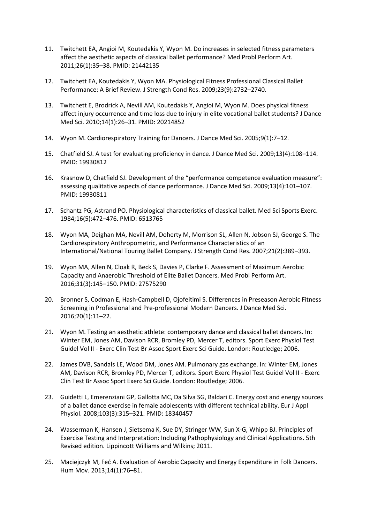- 11. Twitchett EA, Angioi M, Koutedakis Y, Wyon M. Do increases in selected fitness parameters affect the aesthetic aspects of classical ballet performance? Med Probl Perform Art. 2011;26(1):35–38. PMID: 21442135
- 12. Twitchett EA, Koutedakis Y, Wyon MA. Physiological Fitness Professional Classical Ballet Performance: A Brief Review. J Strength Cond Res. 2009;23(9):2732–2740.
- 13. Twitchett E, Brodrick A, Nevill AM, Koutedakis Y, Angioi M, Wyon M. Does physical fitness affect injury occurrence and time loss due to injury in elite vocational ballet students? J Dance Med Sci. 2010;14(1):26–31. PMID: 20214852
- 14. Wyon M. Cardiorespiratory Training for Dancers. J Dance Med Sci. 2005;9(1):7–12.
- 15. Chatfield SJ. A test for evaluating proficiency in dance. J Dance Med Sci. 2009;13(4):108–114. PMID: 19930812
- 16. Krasnow D, Chatfield SJ. Development of the "performance competence evaluation measure": assessing qualitative aspects of dance performance. J Dance Med Sci. 2009;13(4):101–107. PMID: 19930811
- 17. Schantz PG, Astrand PO. Physiological characteristics of classical ballet. Med Sci Sports Exerc. 1984;16(5):472–476. PMID: 6513765
- 18. Wyon MA, Deighan MA, Nevill AM, Doherty M, Morrison SL, Allen N, Jobson SJ, George S. The Cardiorespiratory Anthropometric, and Performance Characteristics of an International/National Touring Ballet Company. J Strength Cond Res. 2007;21(2):389–393.
- 19. Wyon MA, Allen N, Cloak R, Beck S, Davies P, Clarke F. Assessment of Maximum Aerobic Capacity and Anaerobic Threshold of Elite Ballet Dancers. Med Probl Perform Art. 2016;31(3):145–150. PMID: 27575290
- 20. Bronner S, Codman E, Hash-Campbell D, Ojofeitimi S. Differences in Preseason Aerobic Fitness Screening in Professional and Pre-professional Modern Dancers. J Dance Med Sci. 2016;20(1):11–22.
- 21. Wyon M. Testing an aesthetic athlete: contemporary dance and classical ballet dancers. In: Winter EM, Jones AM, Davison RCR, Bromley PD, Mercer T, editors. Sport Exerc Physiol Test Guidel Vol II - Exerc Clin Test Br Assoc Sport Exerc Sci Guide. London: Routledge; 2006.
- 22. James DVB, Sandals LE, Wood DM, Jones AM. Pulmonary gas exchange. In: Winter EM, Jones AM, Davison RCR, Bromley PD, Mercer T, editors. Sport Exerc Physiol Test Guidel Vol II - Exerc Clin Test Br Assoc Sport Exerc Sci Guide. London: Routledge; 2006.
- 23. Guidetti L, Emerenziani GP, Gallotta MC, Da Silva SG, Baldari C. Energy cost and energy sources of a ballet dance exercise in female adolescents with different technical ability. Eur J Appl Physiol. 2008;103(3):315–321. PMID: 18340457
- 24. Wasserman K, Hansen J, Sietsema K, Sue DY, Stringer WW, Sun X-G, Whipp BJ. Principles of Exercise Testing and Interpretation: Including Pathophysiology and Clinical Applications. 5th Revised edition. Lippincott Williams and Wilkins; 2011.
- 25. Maciejczyk M, Feć A. Evaluation of Aerobic Capacity and Energy Expenditure in Folk Dancers. Hum Mov. 2013;14(1):76–81.